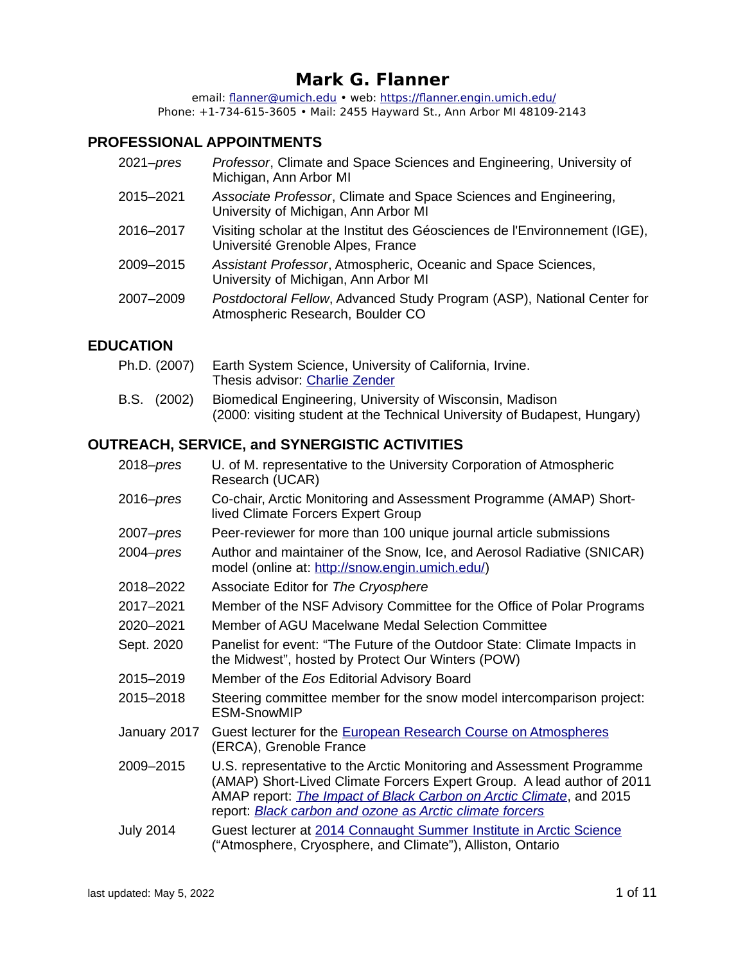# **Mark G. Flanner**

 email: [flanner@umich.edu](mailto:flanner@umich.edu) • web:<https://flanner.engin.umich.edu/> Phone: +1-734-615-3605 • Mail: 2455 Hayward St., Ann Arbor MI 48109-2143

#### **PROFESSIONAL APPOINTMENTS**

| 2021-pres | Professor, Climate and Space Sciences and Engineering, University of<br>Michigan, Ann Arbor MI                  |
|-----------|-----------------------------------------------------------------------------------------------------------------|
| 2015–2021 | Associate Professor, Climate and Space Sciences and Engineering,<br>University of Michigan, Ann Arbor MI        |
| 2016-2017 | Visiting scholar at the Institut des Géosciences de l'Environnement (IGE),<br>Université Grenoble Alpes, France |
| 2009-2015 | Assistant Professor, Atmospheric, Oceanic and Space Sciences,<br>University of Michigan, Ann Arbor MI           |
| 2007-2009 | Postdoctoral Fellow, Advanced Study Program (ASP), National Center for<br>Atmospheric Research, Boulder CO      |
|           |                                                                                                                 |

### **EDUCATION**

- Ph.D. (2007) Earth System Science, University of California, Irvine. Thesis advisor: [Charlie Zender](http://www.ess.uci.edu/~zender/)
- B.S. (2002) Biomedical Engineering, University of Wisconsin, Madison (2000: visiting student at the Technical University of Budapest, Hungary)

#### **OUTREACH, SERVICE, and SYNERGISTIC ACTIVITIES**

| $2018 - pres$    | U. of M. representative to the University Corporation of Atmospheric<br>Research (UCAR)                                                                                                                                                                                                           |
|------------------|---------------------------------------------------------------------------------------------------------------------------------------------------------------------------------------------------------------------------------------------------------------------------------------------------|
| $2016$ -pres     | Co-chair, Arctic Monitoring and Assessment Programme (AMAP) Short-<br>lived Climate Forcers Expert Group                                                                                                                                                                                          |
| $2007 - pres$    | Peer-reviewer for more than 100 unique journal article submissions                                                                                                                                                                                                                                |
| $2004 - pres$    | Author and maintainer of the Snow, Ice, and Aerosol Radiative (SNICAR)<br>model (online at: http://snow.engin.umich.edu/)                                                                                                                                                                         |
| 2018-2022        | Associate Editor for The Cryosphere                                                                                                                                                                                                                                                               |
| 2017-2021        | Member of the NSF Advisory Committee for the Office of Polar Programs                                                                                                                                                                                                                             |
| 2020-2021        | Member of AGU Macelwane Medal Selection Committee                                                                                                                                                                                                                                                 |
| Sept. 2020       | Panelist for event: "The Future of the Outdoor State: Climate Impacts in<br>the Midwest", hosted by Protect Our Winters (POW)                                                                                                                                                                     |
| 2015-2019        | Member of the Eos Editorial Advisory Board                                                                                                                                                                                                                                                        |
| 2015-2018        | Steering committee member for the snow model intercomparison project:<br><b>ESM-SnowMIP</b>                                                                                                                                                                                                       |
| January 2017     | Guest lecturer for the European Research Course on Atmospheres<br>(ERCA), Grenoble France                                                                                                                                                                                                         |
| 2009-2015        | U.S. representative to the Arctic Monitoring and Assessment Programme<br>(AMAP) Short-Lived Climate Forcers Expert Group. A lead author of 2011<br>AMAP report: <i>The Impact of Black Carbon on Arctic Climate</i> , and 2015<br>report: <b>Black carbon and ozone as Arctic climate forcers</b> |
| <b>July 2014</b> | Guest lecturer at 2014 Connaught Summer Institute in Arctic Science<br>("Atmosphere, Cryosphere, and Climate"), Alliston, Ontario                                                                                                                                                                 |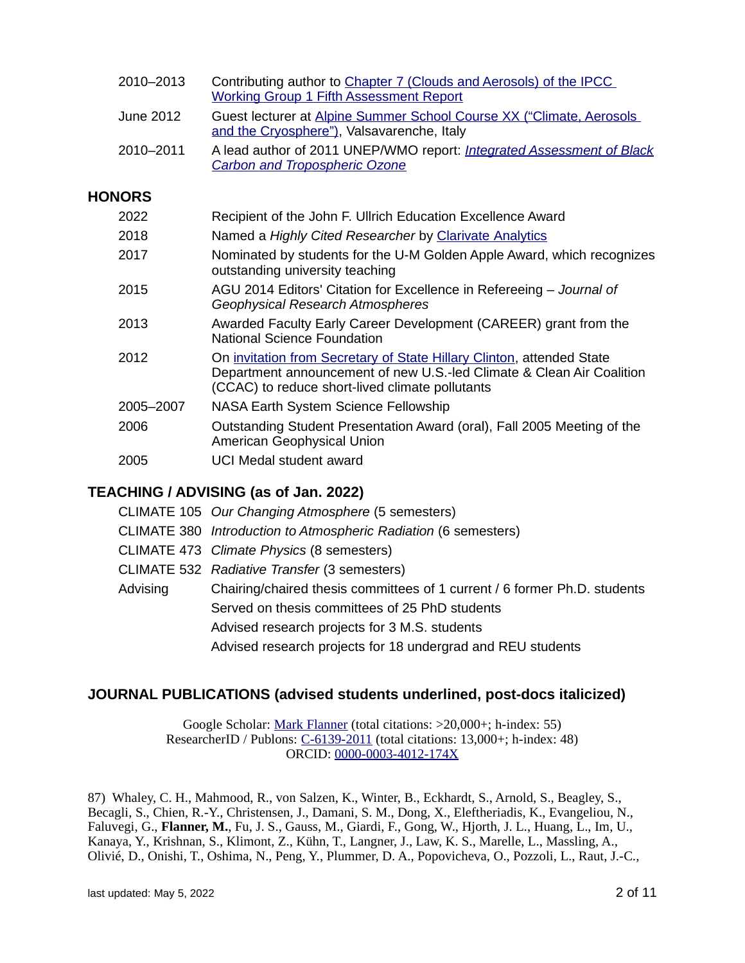| 2010-2013     | Contributing author to Chapter 7 (Clouds and Aerosols) of the IPCC<br><b>Working Group 1 Fifth Assessment Report</b> |
|---------------|----------------------------------------------------------------------------------------------------------------------|
| June 2012     | Guest lecturer at Alpine Summer School Course XX ("Climate, Aerosols<br>and the Cryosphere"), Valsavarenche, Italy   |
| 2010-2011     | A lead author of 2011 UNEP/WMO report: Integrated Assessment of Black<br><b>Carbon and Tropospheric Ozone</b>        |
| <b>HONORS</b> |                                                                                                                      |
| 2022          | Recipient of the John F. Ullrich Education Excellence Award                                                          |
| 2018          | Named a Highly Cited Researcher by Clarivate Analytics                                                               |
| 2017          | Nominated by students for the U-M Golden Apple Award, which recognizes<br>outstanding university teaching            |
| 2015          | AGU 2014 Editors' Citation for Excellence in Refereeing - Journal of                                                 |

- *Geophysical Research Atmospheres*
- 2013 Awarded Faculty Early Career Development (CAREER) grant from the National Science Foundation
- 2012 **On [invitation from Secretary of State Hillary Clinton,](http://snow.engin.umich.edu/ClintonInvitation.pdf) attended State** Department announcement of new U.S.-led Climate & Clean Air Coalition (CCAC) to reduce short-lived climate pollutants
- 2005–2007 NASA Earth System Science Fellowship
- 2006 Outstanding Student Presentation Award (oral), Fall 2005 Meeting of the American Geophysical Union
- 2005 UCI Medal student award

## **TEACHING / ADVISING (as of Jan. 2022)**

|          | CLIMATE 105 Our Changing Atmosphere (5 semesters)                         |
|----------|---------------------------------------------------------------------------|
|          | CLIMATE 380 Introduction to Atmospheric Radiation (6 semesters)           |
|          | CLIMATE 473 Climate Physics (8 semesters)                                 |
|          | CLIMATE 532 Radiative Transfer (3 semesters)                              |
| Advising | Chairing/chaired thesis committees of 1 current / 6 former Ph.D. students |
|          | Served on thesis committees of 25 PhD students                            |
|          | Advised research projects for 3 M.S. students                             |
|          | Advised research projects for 18 undergrad and REU students               |

## **JOURNAL PUBLICATIONS (advised students underlined, post-docs italicized)**

Google Scholar: [Mark Flanner](https://scholar.google.com/citations?user=mm24__gAAAAJ&hl=en) (total citations: >20,000+; h-index: 55) ResearcherID / Publons: [C-6139-2011](http://www.researcherid.com/rid/C-6139-2011) (total citations: 13,000+; h-index: 48) ORCID: [0000-0003-4012-174X](http://orcid.org/0000-0003-4012-174X)

87) Whaley, C. H., Mahmood, R., von Salzen, K., Winter, B., Eckhardt, S., Arnold, S., Beagley, S., Becagli, S., Chien, R.-Y., Christensen, J., Damani, S. M., Dong, X., Eleftheriadis, K., Evangeliou, N., Faluvegi, G., **Flanner, M.**, Fu, J. S., Gauss, M., Giardi, F., Gong, W., Hjorth, J. L., Huang, L., Im, U., Kanaya, Y., Krishnan, S., Klimont, Z., Kühn, T., Langner, J., Law, K. S., Marelle, L., Massling, A., Olivié, D., Onishi, T., Oshima, N., Peng, Y., Plummer, D. A., Popovicheva, O., Pozzoli, L., Raut, J.-C.,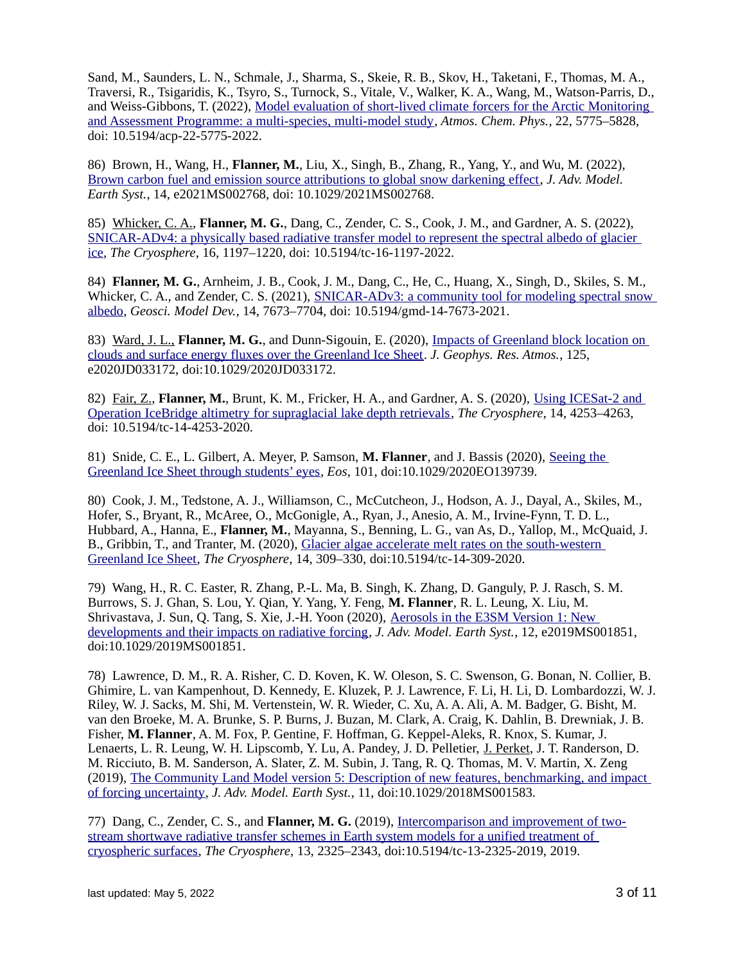Sand, M., Saunders, L. N., Schmale, J., Sharma, S., Skeie, R. B., Skov, H., Taketani, F., Thomas, M. A., Traversi, R., Tsigaridis, K., Tsyro, S., Turnock, S., Vitale, V., Walker, K. A., Wang, M., Watson-Parris, D., and Weiss-Gibbons, T. (2022), [Model evaluation of short-lived climate forcers for the Arctic Monitoring](https://doi.org/10.5194/acp-22-5775-2022)  [and Assessment Programme: a multi-species, multi-model study,](https://doi.org/10.5194/acp-22-5775-2022) *Atmos. Chem. Phys.*, 22, 5775–5828, doi: 10.5194/acp-22-5775-2022.

86) Brown, H., Wang, H., **Flanner, M.**, Liu, X., Singh, B., Zhang, R., Yang, Y., and Wu, M. (2022), [Brown carbon fuel and emission source attributions to global snow darkening effect,](https://doi.org/10.1029/2021MS002768) *J. Adv. Model. Earth Syst.*, 14, e2021MS002768, doi: 10.1029/2021MS002768.

85) Whicker, C. A., **Flanner, M. G.**, Dang, C., Zender, C. S., Cook, J. M., and Gardner, A. S. (2022), [SNICAR-ADv4: a physically based radiative transfer model to represent the spectral albedo of glacier](https://doi.org/10.5194/tc-16-1197-2022)  [ice,](https://doi.org/10.5194/tc-16-1197-2022) *The Cryosphere*, 16, 1197–1220, doi: 10.5194/tc-16-1197-2022.

84) **Flanner, M. G.**, Arnheim, J. B., Cook, J. M., Dang, C., He, C., Huang, X., Singh, D., Skiles, S. M., Whicker, C. A., and Zender, C. S. (2021), SNICAR-ADv3: a community tool for modeling spectral snow [albedo,](https://doi.org/10.5194/gmd-14-7673-2021) *Geosci. Model Dev.*, 14, 7673–7704, doi: 10.5194/gmd-14-7673-2021.

83) Ward, J. L., **Flanner, M. G.**, and Dunn‐Sigouin, E. (2020), [Impacts of Greenland block location on](http://dx.doi.org/10.1029/2020JD033172)  [clouds and surface energy fluxes over the Greenland Ice Sheet.](http://dx.doi.org/10.1029/2020JD033172) *J. Geophys. Res. Atmos.*, 125, e2020JD033172, doi:10.1029/2020JD033172.

82) Fair, Z., **Flanner, M.**, Brunt, K. M., Fricker, H. A., and Gardner, A. S. (2020), [Using ICESat-2 and](https://doi.org/10.5194/tc-14-4253-2020)  [Operation IceBridge altimetry for supraglacial lake depth retrievals,](https://doi.org/10.5194/tc-14-4253-2020) *The Cryosphere*, 14, 4253–4263, doi: 10.5194/tc-14-4253-2020.

81) Snide, C. E., L. Gilbert, A. Meyer, P. Samson, **M. Flanner**, and J. Bassis (2020), [Seeing the](https://doi.org/10.1029/2020EO139739)  [Greenland Ice Sheet through students' eyes,](https://doi.org/10.1029/2020EO139739) *Eos*, 101, doi:10.1029/2020EO139739.

80) Cook, J. M., Tedstone, A. J., Williamson, C., McCutcheon, J., Hodson, A. J., Dayal, A., Skiles, M., Hofer, S., Bryant, R., McAree, O., McGonigle, A., Ryan, J., Anesio, A. M., Irvine-Fynn, T. D. L., Hubbard, A., Hanna, E., **Flanner, M.**, Mayanna, S., Benning, L. G., van As, D., Yallop, M., McQuaid, J. B., Gribbin, T., and Tranter, M. (2020), [Glacier algae accelerate melt rates on the south-western](https://doi.org/10.5194/tc-14-309-2020)  [Greenland Ice Sheet,](https://doi.org/10.5194/tc-14-309-2020) *The Cryosphere*, 14, 309–330, doi:10.5194/tc-14-309-2020.

79) Wang, H., R. C. Easter, R. Zhang, P.-L. Ma, B. Singh, K. Zhang, D. Ganguly, P. J. Rasch, S. M. Burrows, S. J. Ghan, S. Lou, Y. Qian, Y. Yang, Y. Feng, **M. Flanner**, R. L. Leung, X. Liu, M. Shrivastava, J. Sun, Q. Tang, S. Xie, J.‐H. Yoon (2020), [Aerosols in the E3SM Version 1: New](https://doi.org/10.1029/2019MS001851)  [developments and their impacts on radiative forcing,](https://doi.org/10.1029/2019MS001851) *J. Adv. Model. Earth Syst.*, 12, e2019MS001851, doi:10.1029/2019MS001851.

78) Lawrence, D. M., R. A. Risher, C. D. Koven, K. W. Oleson, S. C. Swenson, G. Bonan, N. Collier, B. Ghimire, L. van Kampenhout, D. Kennedy, E. Kluzek, P. J. Lawrence, F. Li, H. Li, D. Lombardozzi, W. J. Riley, W. J. Sacks, M. Shi, M. Vertenstein, W. R. Wieder, C. Xu, A. A. Ali, A. M. Badger, G. Bisht, M. van den Broeke, M. A. Brunke, S. P. Burns, J. Buzan, M. Clark, A. Craig, K. Dahlin, B. Drewniak, J. B. Fisher, **M. Flanner**, A. M. Fox, P. Gentine, F. Hoffman, G. Keppel‐Aleks, R. Knox, S. Kumar, J. Lenaerts, L. R. Leung, W. H. Lipscomb, Y. Lu, A. Pandey, J. D. Pelletier, J. Perket, J. T. Randerson, D. M. Ricciuto, B. M. Sanderson, A. Slater, Z. M. Subin, J. Tang, R. Q. Thomas, M. V. Martin, X. Zeng (2019), [The Community Land Model version 5: Description of new features, benchmarking, and impact](https://doi.org/10.1029/2018MS001583)  [of forcing uncertainty,](https://doi.org/10.1029/2018MS001583) *J. Adv. Model. Earth Syst.*, 11, doi:10.1029/2018MS001583.

77) Dang, C., Zender, C. S., and **Flanner, M. G.** (2019), [Intercomparison and improvement of two](https://doi.org/10.5194/tc-13-2325-2019)stream shortwave radiative transfer schemes in Earth system models for a unified treatment of [cryospheric surfaces,](https://doi.org/10.5194/tc-13-2325-2019) *The Cryosphere,* 13, 2325–2343, doi:10.5194/tc-13-2325-2019, 2019.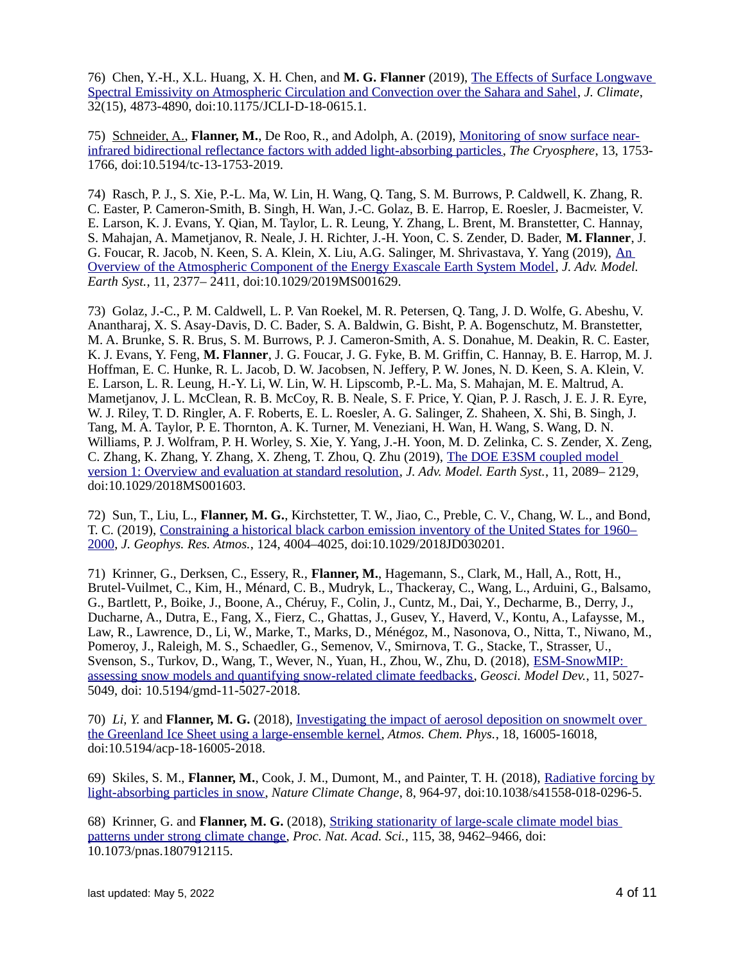76) Chen, Y.-H., X.L. Huang, X. H. Chen, and **M. G. Flanner** (2019), [The Effects of Surface Longwave](https://doi.org/10.1175/JCLI-D-18-0615.1)  [Spectral Emissivity on Atmospheric Circulation and Convection over the Sahara and Sahel,](https://doi.org/10.1175/JCLI-D-18-0615.1) *J. Climate*, 32(15), 4873-4890, doi:10.1175/JCLI-D-18-0615.1.

75) Schneider, A., **Flanner, M.**, De Roo, R., and Adolph, A. (2019), [Monitoring of snow surface near](https://doi.org/10.5194/tc-13-1753-2019)[infrared bidirectional reflectance factors with added light-absorbing particles,](https://doi.org/10.5194/tc-13-1753-2019) *The Cryosphere*, 13, 1753- 1766, doi:10.5194/tc-13-1753-2019.

74) Rasch, P. J., S. Xie, P.‐L. Ma, W. Lin, H. Wang, Q. Tang, S. M. Burrows, P. Caldwell, K. Zhang, R. C. Easter, P. Cameron‐Smith, B. Singh, H. Wan, J.‐C. Golaz, B. E. Harrop, E. Roesler, J. Bacmeister, V. E. Larson, K. J. Evans, Y. Qian, M. Taylor, L. R. Leung, Y. Zhang, L. Brent, M. Branstetter, C. Hannay, S. Mahajan, A. Mametjanov, R. Neale, J. H. Richter, J.‐H. Yoon, C. S. Zender, D. Bader, **M. Flanner**, J. G. Foucar, R. Jacob, N. Keen, S. A. Klein, X. Liu, A.G. Salinger, M. Shrivastava, Y. Yang (2019), [An](https://doi.org/10.1029/2019MS001629)  [Overview of the Atmospheric Component of the Energy Exascale Earth System Model,](https://doi.org/10.1029/2019MS001629) *J. Adv. Model. Earth Syst.*, 11, 2377– 2411, doi:10.1029/2019MS001629.

73) Golaz, J.‐C., P. M. Caldwell, L. P. Van Roekel, M. R. Petersen, Q. Tang, J. D. Wolfe, G. Abeshu, V. Anantharaj, X. S. Asay‐Davis, D. C. Bader, S. A. Baldwin, G. Bisht, P. A. Bogenschutz, M. Branstetter, M. A. Brunke, S. R. Brus, S. M. Burrows, P. J. Cameron‐Smith, A. S. Donahue, M. Deakin, R. C. Easter, K. J. Evans, Y. Feng, **M. Flanner**, J. G. Foucar, J. G. Fyke, B. M. Griffin, C. Hannay, B. E. Harrop, M. J. Hoffman, E. C. Hunke, R. L. Jacob, D. W. Jacobsen, N. Jeffery, P. W. Jones, N. D. Keen, S. A. Klein, V. E. Larson, L. R. Leung, H.-Y. Li, W. Lin, W. H. Lipscomb, P.-L. Ma, S. Mahajan, M. E. Maltrud, A. Mametjanov, J. L. McClean, R. B. McCoy, R. B. Neale, S. F. Price, Y. Qian, P. J. Rasch, J. E. J. R. Eyre, W. J. Riley, T. D. Ringler, A. F. Roberts, E. L. Roesler, A. G. Salinger, Z. Shaheen, X. Shi, B. Singh, J. Tang, M. A. Taylor, P. E. Thornton, A. K. Turner, M. Veneziani, H. Wan, H. Wang, S. Wang, D. N. Williams, P. J. Wolfram, P. H. Worley, S. Xie, Y. Yang, J.-H. Yoon, M. D. Zelinka, C. S. Zender, X. Zeng, C. Zhang, K. Zhang, Y. Zhang, X. Zheng, T. Zhou, Q. Zhu (2019), [The DOE E3SM coupled model](https://doi.org/10.1029/2018MS001603)  [version 1: Overview and evaluation at standard resolution,](https://doi.org/10.1029/2018MS001603) *J. Adv. Model. Earth Syst.*, 11, 2089– 2129, doi:10.1029/2018MS001603.

72) Sun, T., Liu, L., **Flanner, M. G.**, Kirchstetter, T. W., Jiao, C., Preble, C. V., Chang, W. L., and Bond, T. C. (2019), [Constraining a historical black carbon emission inventory of the United States for 1960–](https://doi.org/10.1029/2018JD030201) [2000,](https://doi.org/10.1029/2018JD030201) *J. Geophys. Res. Atmos.*, 124, 4004–4025, doi:10.1029/2018JD030201.

71) Krinner, G., Derksen, C., Essery, R., **Flanner, M.**, Hagemann, S., Clark, M., Hall, A., Rott, H., Brutel-Vuilmet, C., Kim, H., Ménard, C. B., Mudryk, L., Thackeray, C., Wang, L., Arduini, G., Balsamo, G., Bartlett, P., Boike, J., Boone, A., Chéruy, F., Colin, J., Cuntz, M., Dai, Y., Decharme, B., Derry, J., Ducharne, A., Dutra, E., Fang, X., Fierz, C., Ghattas, J., Gusev, Y., Haverd, V., Kontu, A., Lafaysse, M., Law, R., Lawrence, D., Li, W., Marke, T., Marks, D., Ménégoz, M., Nasonova, O., Nitta, T., Niwano, M., Pomeroy, J., Raleigh, M. S., Schaedler, G., Semenov, V., Smirnova, T. G., Stacke, T., Strasser, U., Svenson, S., Turkov, D., Wang, T., Wever, N., Yuan, H., Zhou, W., Zhu, D. (2018), [ESM-SnowMIP:](https://doi.org/10.5194/gmd-11-5027-2018)  [assessing snow models and quantifying snow-related climate feedbacks,](https://doi.org/10.5194/gmd-11-5027-2018) *Geosci. Model Dev.*, 11, 5027- 5049, doi: 10.5194/gmd-11-5027-2018.

70) *Li, Y.* and **Flanner, M. G.** (2018), [Investigating the impact of aerosol deposition on snowmelt over](https://doi.org/10.5194/acp-18-16005-2018)  [the Greenland Ice Sheet using a large-ensemble kernel,](https://doi.org/10.5194/acp-18-16005-2018) *Atmos. Chem. Phys.*, 18, 16005-16018, doi:10.5194/acp-18-16005-2018.

69) Skiles, S. M., **Flanner, M.**, Cook, J. M., Dumont, M., and Painter, T. H. (2018), [Radiative forcing by](https://doi.org/10.1038/s41558-018-0296-5) [light-absorbing particles in snow,](https://doi.org/10.1038/s41558-018-0296-5) *Nature Climate Change*, 8, 964-97, doi:10.1038/s41558-018-0296-5.

68) Krinner, G. and **Flanner, M. G.** (2018), [Striking stationarity of large-scale climate model bias](https://doi.org/10.1073/pnas.1807912115)  [patterns under strong climate change,](https://doi.org/10.1073/pnas.1807912115) *Proc. Nat. Acad. Sci.*, 115, 38, 9462–9466, doi: 10.1073/pnas.1807912115.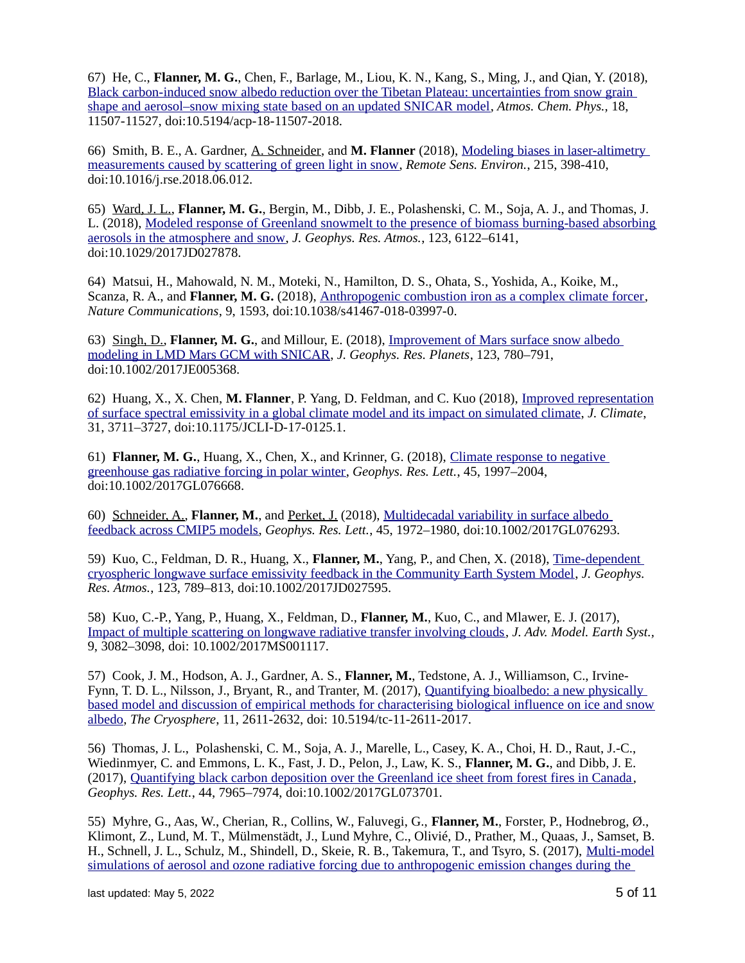67) He, C., **Flanner, M. G.**, Chen, F., Barlage, M., Liou, K. N., Kang, S., Ming, J., and Qian, Y. (2018), [Black carbon-induced snow albedo reduction over the Tibetan Plateau: uncertainties from snow grain](https://doi.org/10.5194/acp-18-11507-2018)  [shape and aerosol–snow mixing state based on an updated SNICAR model,](https://doi.org/10.5194/acp-18-11507-2018) *Atmos. Chem. Phys.,* 18, 11507-11527, doi:10.5194/acp-18-11507-2018.

66) Smith, B. E., A. Gardner, A. Schneider, and **M. Flanner** (2018), [Modeling biases in laser-altimetry](https://doi.org/10.1016/j.rse.2018.06.012)  [measurements caused by scattering of green light in snow,](https://doi.org/10.1016/j.rse.2018.06.012) *Remote Sens. Environ.*, 215, 398-410, doi:10.1016/j.rse.2018.06.012.

65) Ward, J. L., **Flanner, M. G.**, Bergin, M., Dibb, J. E., Polashenski, C. M., Soja, A. J., and Thomas, J. L. (2018), Modeled response of Greenland snowmelt to the presence of biomass burning-based absorbing [aerosols in the atmosphere and snow,](https://doi.org/10.1029/2017JD027878) *J. Geophys. Res. Atmos.*, 123, 6122–6141, doi:10.1029/2017JD027878.

64) Matsui, H., Mahowald, N. M., Moteki, N., Hamilton, D. S., Ohata, S., Yoshida, A., Koike, M., Scanza, R. A., and **Flanner, M. G.** (2018), [Anthropogenic combustion iron as a complex climate forcer,](https://doi.org/10.1038/s41467-018-03997-0) *Nature Communications*, 9, 1593, doi:10.1038/s41467-018-03997-0.

63) Singh, D., **Flanner, M. G.**, and Millour, E. (2018), [Improvement of Mars surface snow albedo](https://doi.org/10.1002/2017JE005368)  [modeling in LMD Mars GCM with SNICAR,](https://doi.org/10.1002/2017JE005368) *J. Geophys. Res. Planets*, 123, 780–791, doi:10.1002/2017JE005368.

62) Huang, X., X. Chen, M. Flanner, P. Yang, D. Feldman, and C. Kuo (2018), *Improved representation* of surface spectral emissivity in a global climate model and its impact on simulated climate, *J. Climate*, 31, 3711–3727, doi:10.1175/JCLI-D-17-0125.1.

61) **Flanner, M. G.**, Huang, X., Chen, X., and Krinner, G. (2018), [Climate response to negative](https://doi.org/10.1002/2017GL076668)  [greenhouse gas radiative forcing in polar winter,](https://doi.org/10.1002/2017GL076668) *Geophys. Res. Lett.*, 45, 1997–2004, doi:10.1002/2017GL076668.

60) Schneider, A., **Flanner, M.**, and Perket, J. (2018), [Multidecadal variability in surface albedo](https://doi.org/10.1002/2017GL076293)  [feedback across CMIP5 models,](https://doi.org/10.1002/2017GL076293) *Geophys. Res. Lett.*, 45, 1972–1980, doi:10.1002/2017GL076293.

59) Kuo, C., Feldman, D. R., Huang, X., **Flanner, M.**, Yang, P., and Chen, X. (2018), [Time-dependent](https://doi.org/10.1002/2017JD027595)  [cryospheric longwave surface emissivity feedback in the Community Earth System Model,](https://doi.org/10.1002/2017JD027595) *J. Geophys. Res. Atmos.*, 123, 789–813, doi:10.1002/2017JD027595.

58) Kuo, C.-P., Yang, P., Huang, X., Feldman, D., **Flanner, M.**, Kuo, C., and Mlawer, E. J. (2017), [Impact of multiple scattering on longwave radiative transfer involving clouds,](https://doi.org/10.1002/2017MS001117) *J. Adv. Model. Earth Syst.,* 9, 3082–3098, doi: 10.1002/2017MS001117.

57) Cook, J. M., Hodson, A. J., Gardner, A. S., **Flanner, M.**, Tedstone, A. J., Williamson, C., Irvine-Fynn, T. D. L., Nilsson, J., Bryant, R., and Tranter, M. (2017), [Quantifying bioalbedo: a new physically](https://www.the-cryosphere.net/11/2611/2017/)  [based model and discussion of empirical methods for characterising biological influence on ice and snow](https://www.the-cryosphere.net/11/2611/2017/) [albedo,](https://www.the-cryosphere.net/11/2611/2017/) *The Cryosphere*, 11, 2611-2632, doi: 10.5194/tc-11-2611-2017.

56) Thomas, J. L., Polashenski, C. M., Soja, A. J., Marelle, L., Casey, K. A., Choi, H. D., Raut, J.-C., Wiedinmyer, C. and Emmons, L. K., Fast, J. D., Pelon, J., Law, K. S., **Flanner, M. G.**, and Dibb, J. E. (2017), [Quantifying black carbon deposition over the Greenland ice sheet from forest fires in Canada,](http://dx.doi.org/10.1002/2017GL073701) *Geophys. Res. Lett.*, 44, 7965–7974, doi:10.1002/2017GL073701.

55) Myhre, G., Aas, W., Cherian, R., Collins, W., Faluvegi, G., **Flanner, M.**, Forster, P., Hodnebrog, Ø., Klimont, Z., Lund, M. T., Mülmenstädt, J., Lund Myhre, C., Olivié, D., Prather, M., Quaas, J., Samset, B. H., Schnell, J. L., Schulz, M., Shindell, D., Skeie, R. B., Takemura, T., and Tsyro, S. (2017), [Multi-model](http://www.atmos-chem-phys.net/17/2709/2017/) [simulations of aerosol and ozone radiative forcing due to anthropogenic emission changes during the](http://www.atmos-chem-phys.net/17/2709/2017/)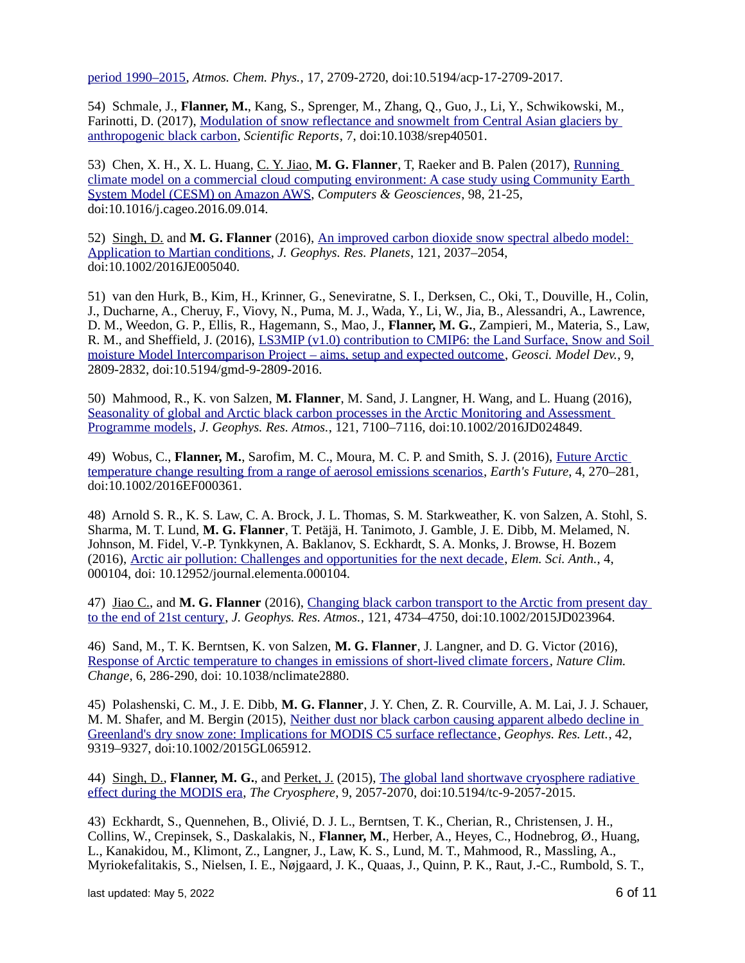[period 1990–2015,](http://www.atmos-chem-phys.net/17/2709/2017/) *Atmos. Chem. Phys.*, 17, 2709-2720, doi:10.5194/acp-17-2709-2017.

54) Schmale, J., **Flanner, M.**, Kang, S., Sprenger, M., Zhang, Q., Guo, J., Li, Y., Schwikowski, M., Farinotti, D. (2017), [Modulation of snow reflectance and snowmelt from Central Asian glaciers by](http://dx.doi.org/10.1038/srep40501)  [anthropogenic black carbon,](http://dx.doi.org/10.1038/srep40501) *Scientific Reports*, 7, doi:10.1038/srep40501.

53) Chen, X. H., X. L. Huang, C. Y. Jiao, **M. G. Flanner**, T, Raeker and B. Palen (2017), [Running](http://dx.doi.org/10.1016/j.cageo.2016.09.014)  [climate model on a commercial cloud computing environment: A case study using Community Earth](http://dx.doi.org/10.1016/j.cageo.2016.09.014)  [System Model \(CESM\) on Amazon AWS,](http://dx.doi.org/10.1016/j.cageo.2016.09.014) *Computers & Geosciences*, 98, 21-25, doi:10.1016/j.cageo.2016.09.014.

52) Singh, D. and **M. G. Flanner** (2016), [An improved carbon dioxide snow spectral albedo model:](http://dx.doi.org/10.1002/2016JE005040)  [Application to Martian conditions,](http://dx.doi.org/10.1002/2016JE005040) *J. Geophys. Res. Planets*, 121, 2037–2054, doi:10.1002/2016JE005040.

51) van den Hurk, B., Kim, H., Krinner, G., Seneviratne, S. I., Derksen, C., Oki, T., Douville, H., Colin, J., Ducharne, A., Cheruy, F., Viovy, N., Puma, M. J., Wada, Y., Li, W., Jia, B., Alessandri, A., Lawrence, D. M., Weedon, G. P., Ellis, R., Hagemann, S., Mao, J., **Flanner, M. G.**, Zampieri, M., Materia, S., Law, R. M., and Sheffield, J. (2016), *LS3MIP* (v1.0) contribution to CMIP6: the Land Surface, Snow and Soil [moisture Model Intercomparison Project – aims, setup and expected outcome,](http://www.geosci-model-dev.net/9/2809/2016/) *Geosci. Model Dev.*, 9, 2809-2832, doi:10.5194/gmd-9-2809-2016.

50) Mahmood, R., K. von Salzen, **M. Flanner**, M. Sand, J. Langner, H. Wang, and L. Huang (2016), [Seasonality of global and Arctic black carbon processes in the Arctic Monitoring and Assessment](http://dx.doi.org/10.1002/2016JD024849)  [Programme models,](http://dx.doi.org/10.1002/2016JD024849) *J. Geophys. Res. Atmos.*, 121, 7100–7116, doi:10.1002/2016JD024849.

49) Wobus, C., **Flanner, M.**, Sarofim, M. C., Moura, M. C. P. and Smith, S. J. (2016), [Future Arctic](http://dx.doi.org/10.1002/2016EF000361)  [temperature change resulting from a range of aerosol emissions scenarios,](http://dx.doi.org/10.1002/2016EF000361) *Earth's Future*, 4, 270–281, doi:10.1002/2016EF000361.

48) Arnold S. R., K. S. Law, C. A. Brock, J. L. Thomas, S. M. Starkweather, K. von Salzen, A. Stohl, S. Sharma, M. T. Lund, **M. G. Flanner**, T. Petäjä, H. Tanimoto, J. Gamble, J. E. Dibb, M. Melamed, N. Johnson, M. Fidel, V.-P. Tynkkynen, A. Baklanov, S. Eckhardt, S. A. Monks, J. Browse, H. Bozem (2016), [Arctic air pollution: Challenges and opportunities for the next decade,](http://www.elementascience.org/articles/104) *Elem. Sci. Anth.*, 4, 000104, doi: 10.12952/journal.elementa.000104.

47) Jiao C., and **M. G. Flanner** (2016), [Changing black carbon transport to the Arctic from present day](http://dx.doi.org/10.1002/2015JD023964)  [to the end of 21st century,](http://dx.doi.org/10.1002/2015JD023964) *J. Geophys. Res. Atmos.*, 121, 4734–4750, doi:10.1002/2015JD023964.

46) Sand, M., T. K. Berntsen, K. von Salzen, **M. G. Flanner**, J. Langner, and D. G. Victor (2016), [Response of Arctic temperature to changes in emissions of short-lived climate forcers,](http://dx.doi.org/10.1038/nclimate2880) *Nature Clim. Change*, 6, 286-290, doi: 10.1038/nclimate2880.

45) Polashenski, C. M., J. E. Dibb, **M. G. Flanner**, J. Y. Chen, Z. R. Courville, A. M. Lai, J. J. Schauer, M. M. Shafer, and M. Bergin (2015), [Neither dust nor black carbon causing apparent albedo decline in](http://dx.doi.org/10.1002/2015GL065912)  [Greenland's dry snow zone: Implications for MODIS C5 surface reflectance,](http://dx.doi.org/10.1002/2015GL065912) *Geophys. Res. Lett.*, 42, 9319–9327, doi:10.1002/2015GL065912.

44) Singh, D., **Flanner, M. G.**, and Perket, J. (2015), [The global land shortwave cryosphere radiative](http://www.the-cryosphere.net/9/2057/2015/tc-9-2057-2015.html)  [effect during the MODIS era,](http://www.the-cryosphere.net/9/2057/2015/tc-9-2057-2015.html) *The Cryosphere*, 9, 2057-2070, doi:10.5194/tc-9-2057-2015.

43) Eckhardt, S., Quennehen, B., Olivié, D. J. L., Berntsen, T. K., Cherian, R., Christensen, J. H., Collins, W., Crepinsek, S., Daskalakis, N., **Flanner, M.**, Herber, A., Heyes, C., Hodnebrog, Ø., Huang, L., Kanakidou, M., Klimont, Z., Langner, J., Law, K. S., Lund, M. T., Mahmood, R., Massling, A., Myriokefalitakis, S., Nielsen, I. E., Nøjgaard, J. K., Quaas, J., Quinn, P. K., Raut, J.-C., Rumbold, S. T.,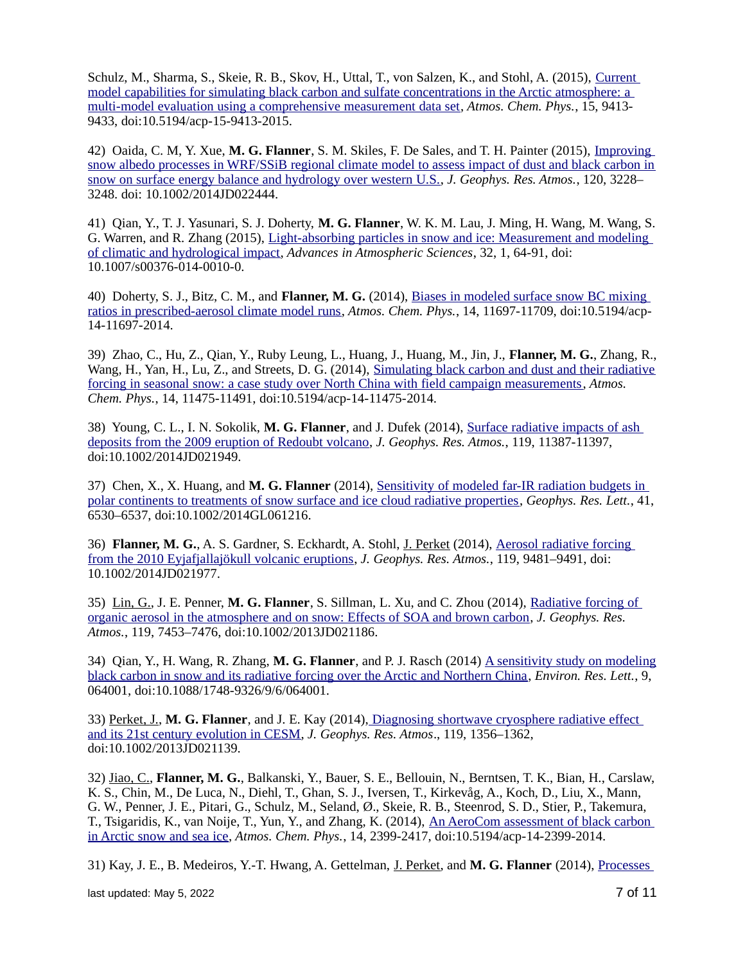Schulz, M., Sharma, S., Skeie, R. B., Skov, H., Uttal, T., von Salzen, K., and Stohl, A. (2015), [Current](http://www.atmos-chem-phys.net/15/9413/2015/acp-15-9413-2015.html)  [model capabilities for simulating black carbon and sulfate concentrations in the Arctic atmosphere: a](http://www.atmos-chem-phys.net/15/9413/2015/acp-15-9413-2015.html)  [multi-model evaluation using a comprehensive measurement data set,](http://www.atmos-chem-phys.net/15/9413/2015/acp-15-9413-2015.html) *Atmos. Chem. Phys.*, 15, 9413- 9433, doi:10.5194/acp-15-9413-2015.

42) Oaida, C. M, Y. Xue, **M. G. Flanner**, S. M. Skiles, F. De Sales, and T. H. Painter (2015), [Improving](http://dx.doi.org/10.1002/2014JD022444)  [snow albedo processes in WRF/SSiB regional climate model to assess impact of dust and black carbon in](http://dx.doi.org/10.1002/2014JD022444) [snow on surface energy balance and hydrology over western U.S.,](http://dx.doi.org/10.1002/2014JD022444) *J. Geophys. Res. Atmos.*, 120, 3228– 3248. doi: 10.1002/2014JD022444.

41) Qian, Y., T. J. Yasunari, S. J. Doherty, **M. G. Flanner**, W. K. M. Lau, J. Ming, H. Wang, M. Wang, S. G. Warren, and R. Zhang (2015), [Light-absorbing particles in snow and ice: Measurement and modeling](http://dx.doi.org/10.1007/s00376-014-0010-0)  [of climatic and hydrological impact,](http://dx.doi.org/10.1007/s00376-014-0010-0) *Advances in Atmospheric Sciences*, 32, 1, 64-91, doi: 10.1007/s00376-014-0010-0.

40) Doherty, S. J., Bitz, C. M., and **Flanner, M. G.** (2014), [Biases in modeled surface snow BC mixing](http://www.atmos-chem-phys.net/14/11697/2014/)  [ratios in prescribed-aerosol climate model runs,](http://www.atmos-chem-phys.net/14/11697/2014/) *Atmos. Chem. Phys.*, 14, 11697-11709, doi:10.5194/acp-14-11697-2014.

39) Zhao, C., Hu, Z., Qian, Y., Ruby Leung, L., Huang, J., Huang, M., Jin, J., **Flanner, M. G.**, Zhang, R., Wang, H., Yan, H., Lu, Z., and Streets, D. G. (2014), [Simulating black carbon and dust and their radiative](http://www.atmos-chem-phys.net/14/11475/2014/) [forcing in seasonal snow: a case study over North China with field campaign measurements,](http://www.atmos-chem-phys.net/14/11475/2014/) *Atmos. Chem. Phys.*, 14, 11475-11491, doi:10.5194/acp-14-11475-2014.

38) Young, C. L., I. N. Sokolik, **M. G. Flanner**, and J. Dufek (2014), [Surface radiative impacts of ash](http://dx.doi.org/10.1002/2014JD021949)  [deposits from the 2009 eruption of Redoubt volcano,](http://dx.doi.org/10.1002/2014JD021949) *J. Geophys. Res. Atmos.*, 119, 11387-11397, doi:10.1002/2014JD021949.

37) Chen, X., X. Huang, and **M. G. Flanner** (2014), [Sensitivity of modeled far-IR radiation budgets in](http://dx.doi.org/10.1002/2014GL061216)  [polar continents to treatments of snow surface and ice cloud radiative properties,](http://dx.doi.org/10.1002/2014GL061216) *Geophys. Res. Lett.*, 41, 6530–6537, doi:10.1002/2014GL061216.

36) **Flanner, M. G.**, A. S. Gardner, S. Eckhardt, A. Stohl, J. Perket (2014), [Aerosol radiative forcing](http://dx.doi.org/10.1002/2014JD021977)  [from the 2010 Eyjafjallajökull volcanic eruptions,](http://dx.doi.org/10.1002/2014JD021977) *J. Geophys. Res. Atmos.*, 119, 9481–9491, doi: 10.1002/2014JD021977.

35) Lin, G., J. E. Penner, **M. G. Flanner**, S. Sillman, L. Xu, and C. Zhou (2014), [Radiative forcing of](http://dx.doi.org/10.1002/2013JD021186)  [organic aerosol in the atmosphere and on snow: Effects of SOA and brown carbon,](http://dx.doi.org/10.1002/2013JD021186) *J. Geophys. Res. Atmos.*, 119, 7453–7476, doi:10.1002/2013JD021186.

34) Qian, Y., H. Wang, R. Zhang, **M. G. Flanner**, and P. J. Rasch (2014) [A sensitivity study on modeling](http://iopscience.iop.org/1748-9326/9/6/064001) [black carbon in snow and its radiative forcing over the Arctic and Northern China,](http://iopscience.iop.org/1748-9326/9/6/064001) *Environ. Res. Lett.*, 9, 064001, doi:10.1088/1748-9326/9/6/064001.

33) Perket, J., **M. G. Flanner**, and J. E. Kay (2014), [Diagnosing shortwave cryosphere radiative effect](http://dx.doi.org/10.1002/2013JD021139)  [and its 21st century evolution in CESM,](http://dx.doi.org/10.1002/2013JD021139) *J. Geophys. Res. Atmos*., 119, 1356–1362, doi:10.1002/2013JD021139.

32) Jiao, C., **Flanner, M. G.**, Balkanski, Y., Bauer, S. E., Bellouin, N., Berntsen, T. K., Bian, H., Carslaw, K. S., Chin, M., De Luca, N., Diehl, T., Ghan, S. J., Iversen, T., Kirkevåg, A., Koch, D., Liu, X., Mann, G. W., Penner, J. E., Pitari, G., Schulz, M., Seland, Ø., Skeie, R. B., Steenrod, S. D., Stier, P., Takemura, T., Tsigaridis, K., van Noije, T., Yun, Y., and Zhang, K. (2014), [An AeroCom assessment of black carbon](http://www.atmos-chem-phys.net/14/2399/2014/)  [in Arctic snow and sea ice,](http://www.atmos-chem-phys.net/14/2399/2014/) *Atmos. Chem. Phys.*, 14, 2399-2417, doi:10.5194/acp-14-2399-2014.

31) Kay, J. E., B. Medeiros, Y.-T. Hwang, A. Gettelman, J. Perket, and **M. G. Flanner** (2014), [Processes](http://dx.doi.org/10.1002/2013GL058315) 

last updated: May 5, 2022  $\sim$  7 of 11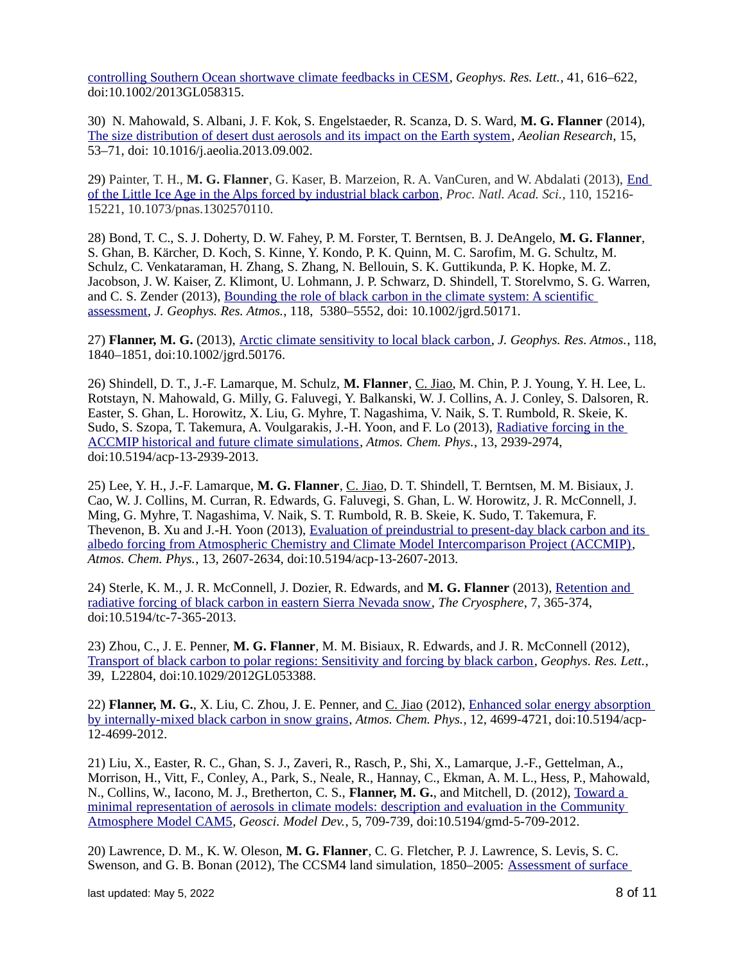[controlling Southern Ocean shortwave climate feedbacks in CESM,](http://dx.doi.org/10.1002/2013GL058315) *Geophys. Res. Lett.*, 41, 616–622, doi:10.1002/2013GL058315.

30) N. Mahowald, S. Albani, J. F. Kok, S. Engelstaeder, R. Scanza, D. S. Ward, **M. G. Flanner** (2014), [The size distribution of desert dust aerosols and its impact on the Earth system,](http://dx.doi.org/10.1016/j.aeolia.2013.09.002) *Aeolian Research*, 15, 53–71, doi: 10.1016/j.aeolia.2013.09.002.

29) Painter, T. H., **M. G. Flanner**, G. Kaser, B. Marzeion, R. A. VanCuren, and W. Abdalati (2013), [End](http://www.pnas.org/content/early/2013/08/28/1302570110.abstract)  [of the Little Ice Age in the Alps forced by industrial black carbon,](http://www.pnas.org/content/early/2013/08/28/1302570110.abstract) *Proc. Natl. Acad. Sci.*, 110, 15216- 15221, 10.1073/pnas.1302570110.

28) Bond, T. C., S. J. Doherty, D. W. Fahey, P. M. Forster, T. Berntsen, B. J. DeAngelo, **M. G. Flanner**, S. Ghan, B. Kärcher, D. Koch, S. Kinne, Y. Kondo, P. K. Quinn, M. C. Sarofim, M. G. Schultz, M. Schulz, C. Venkataraman, H. Zhang, S. Zhang, N. Bellouin, S. K. Guttikunda, P. K. Hopke, M. Z. Jacobson, J. W. Kaiser, Z. Klimont, U. Lohmann, J. P. Schwarz, D. Shindell, T. Storelvmo, S. G. Warren, and C. S. Zender (2013), Bounding the role of black carbon in the climate system: A scientific [assessment](http://dx.doi.org/10.1002/jgrd.50171)*, J. Geophys. Res. Atmos.*, 118, 5380–5552, doi: 10.1002/jgrd.50171.

27) **Flanner, M. G.** (2013), [Arctic climate sensitivity to local black carbon,](http://dx.doi.org/10.1002/jgrd.50176) *J. Geophys. Res. Atmos.*, 118, 1840–1851, doi:10.1002/jgrd.50176.

26) Shindell, D. T., J.-F. Lamarque, M. Schulz, **M. Flanner**, C. Jiao, M. Chin, P. J. Young, Y. H. Lee, L. Rotstayn, N. Mahowald, G. Milly, G. Faluvegi, Y. Balkanski, W. J. Collins, A. J. Conley, S. Dalsoren, R. Easter, S. Ghan, L. Horowitz, X. Liu, G. Myhre, T. Nagashima, V. Naik, S. T. Rumbold, R. Skeie, K. Sudo, S. Szopa, T. Takemura, A. Voulgarakis, J.-H. Yoon, and F. Lo (2013), Radiative forcing in the [ACCMIP historical and future climate simulations,](http://www.atmos-chem-phys.net/13/2939/2013/) *Atmos. Chem. Phys.*, 13, 2939-2974, doi:10.5194/acp-13-2939-2013.

25) Lee, Y. H., J.-F. Lamarque, **M. G. Flanner**, C. Jiao, D. T. Shindell, T. Berntsen, M. M. Bisiaux, J. Cao, W. J. Collins, M. Curran, R. Edwards, G. Faluvegi, S. Ghan, L. W. Horowitz, J. R. McConnell, J. Ming, G. Myhre, T. Nagashima, V. Naik, S. T. Rumbold, R. B. Skeie, K. Sudo, T. Takemura, F. Thevenon, B. Xu and J.-H. Yoon (2013), [Evaluation of preindustrial to present-day black carbon and its](http://www.atmos-chem-phys.net/13/2607/2013/)   [albedo forcing from Atmospheric Chemistry and Climate Model Intercomparison Project \(ACCMIP\),](http://www.atmos-chem-phys.net/13/2607/2013/) *Atmos. Chem. Phys.*, 13, 2607-2634, doi:10.5194/acp-13-2607-2013.

24) Sterle, K. M., J. R. McConnell, J. Dozier, R. Edwards, and **M. G. Flanner** (2013), [Retention and](http://www.the-cryosphere.net/7/365/2013/tc-7-365-2013.html)  [radiative forcing of black carbon in eastern Sierra Nevada snow,](http://www.the-cryosphere.net/7/365/2013/tc-7-365-2013.html) *The Cryosphere*, 7, 365-374, doi:10.5194/tc-7-365-2013.

23) Zhou, C., J. E. Penner, **M. G. Flanner**, M. M. Bisiaux, R. Edwards, and J. R. McConnell (2012), [Transport of black carbon to polar regions: Sensitivity and forcing by black carbon,](http://dx.doi.org/10.1029/2012GL053388) *Geophys. Res. Lett.*, 39, L22804, doi:10.1029/2012GL053388.

22) **Flanner, M. G.**, X. Liu, C. Zhou, J. E. Penner, and C. Jiao (2012), [Enhanced solar energy absorption](http://www.atmos-chem-phys.net/12/4699/2012/acp-12-4699-2012.html)  [by internally-mixed black carbon in snow grains,](http://www.atmos-chem-phys.net/12/4699/2012/acp-12-4699-2012.html) *Atmos. Chem. Phys.*, 12, 4699-4721, doi:10.5194/acp-12-4699-2012.

21) Liu, X., Easter, R. C., Ghan, S. J., Zaveri, R., Rasch, P., Shi, X., Lamarque, J.-F., Gettelman, A., Morrison, H., Vitt, F., Conley, A., Park, S., Neale, R., Hannay, C., Ekman, A. M. L., Hess, P., Mahowald, N., Collins, W., Iacono, M. J., Bretherton, C. S., **Flanner, M. G.**, and Mitchell, D. (2012), [Toward a](http://www.geosci-model-dev.net/5/709/2012/gmd-5-709-2012.html)   [minimal representation of aerosols in climate models: description and evaluation in the Community](http://www.geosci-model-dev.net/5/709/2012/gmd-5-709-2012.html)  [Atmosphere Model CAM5,](http://www.geosci-model-dev.net/5/709/2012/gmd-5-709-2012.html) *Geosci. Model Dev.*, 5, 709-739, doi:10.5194/gmd-5-709-2012.

20) Lawrence, D. M., K. W. Oleson, **M. G. Flanner**, C. G. Fletcher, P. J. Lawrence, S. Levis, S. C. Swenson, and G. B. Bonan (2012), The CCSM4 land simulation, 1850–2005: [Assessment of surface](http://journals.ametsoc.org/doi/abs/10.1175/JCLI-D-11-00103.1)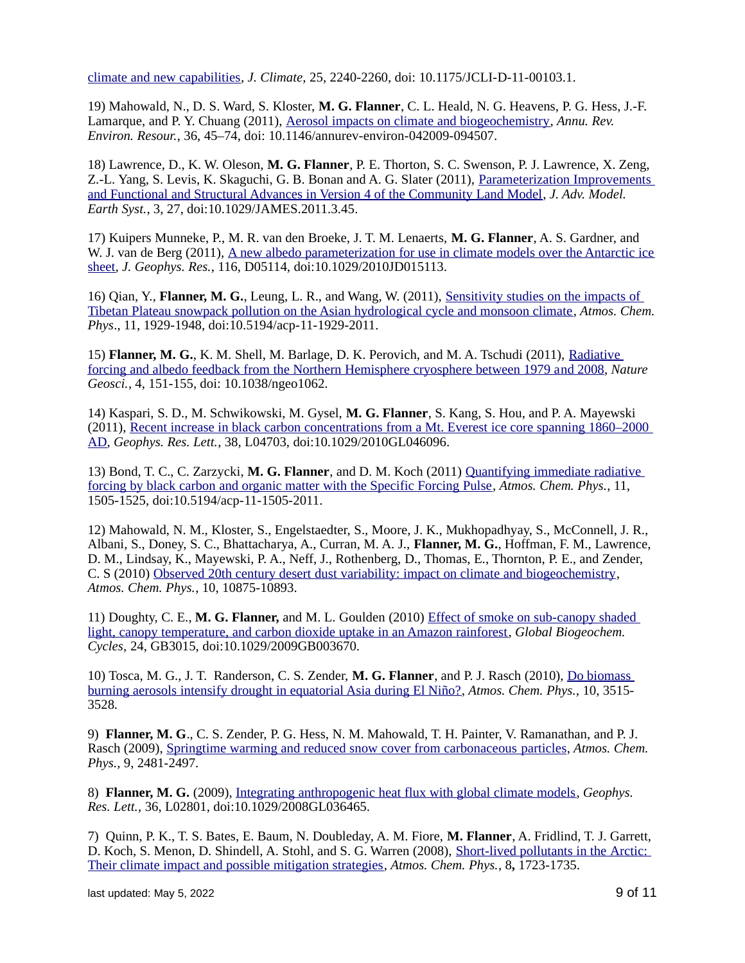[climate and new capabilities,](http://journals.ametsoc.org/doi/abs/10.1175/JCLI-D-11-00103.1) *J. Climate,* 25*,* 2240-2260, doi: 10.1175/JCLI-D-11-00103.1.

19) Mahowald, N., D. S. Ward, S. Kloster, **M. G. Flanner**, C. L. Heald, N. G. Heavens, P. G. Hess, J.-F. Lamarque, and P. Y. Chuang (2011), [Aerosol impacts on climate and biogeochemistry,](http://www.annualreviews.org/doi/abs/10.1146/annurev-environ-042009-094507) *Annu. Rev. Environ. Resour.*, 36, 45–74, doi: 10.1146/annurev-environ-042009-094507.

18) Lawrence, D., K. W. Oleson, **M. G. Flanner**, P. E. Thorton, S. C. Swenson, P. J. Lawrence, X. Zeng, Z.-L. Yang, S. Levis, K. Skaguchi, G. B. Bonan and A. G. Slater (2011), [Parameterization Improvements](http://james.agu.org/index.php/JAMES/article/viewArticle/v3n1)  [and Functional and Structural Advances in Version 4 of the Community Land Model,](http://james.agu.org/index.php/JAMES/article/viewArticle/v3n1) *J. Adv. Model. Earth Syst.*, 3, 27, doi:10.1029/JAMES.2011.3.45.

17) Kuipers Munneke, P., M. R. van den Broeke, J. T. M. Lenaerts, **M. G. Flanner**, A. S. Gardner, and W. J. van de Berg (2011), [A new albedo parameterization for use in climate models over the Antarctic ice](http://dx.doi.org/10.1029/2010JD015113) [sheet,](http://dx.doi.org/10.1029/2010JD015113) *J. Geophys. Res.*, 116, D05114, doi:10.1029/2010JD015113.

16) Qian, Y., **Flanner, M. G.**, Leung, L. R., and Wang, W. (2011), [Sensitivity studies on the impacts of](http://www.atmos-chem-phys.net/11/1929/2011/acp-11-1929-2011.html)  [Tibetan Plateau snowpack pollution on the Asian hydrological cycle and monsoon climate,](http://www.atmos-chem-phys.net/11/1929/2011/acp-11-1929-2011.html) *Atmos. Chem. Phys*., 11, 1929-1948, doi:10.5194/acp-11-1929-2011.

15) **Flanner, M. G.**, K. M. Shell, M. Barlage, D. K. Perovich, and M. A. Tschudi (2011), [Radiative](http://www.nature.com/ngeo/journal/v4/n3/abs/ngeo1062.html)   [forcing and albedo feedback from the Northern Hemisphere cryosphere between 1979 a nd 2008,](http://www.nature.com/ngeo/journal/v4/n3/abs/ngeo1062.html) *Nature Geosci.*, 4, 151-155, doi: 10.1038/ngeo1062.

14) Kaspari, S. D., M. Schwikowski, M. Gysel, **M. G. Flanner**, S. Kang, S. Hou, and P. A. Mayewski (2011), [Recent increase in black carbon concentrations from a Mt. Everest ice core spanning 1860–2000](http://dx.doi.org/10.1029/2010GL046096)  [AD,](http://dx.doi.org/10.1029/2010GL046096) *Geophys. Res. Lett.*, 38, L04703, doi:10.1029/2010GL046096.

13) Bond, T. C., C. Zarzycki, **M. G. Flanner**, and D. M. Koch (2011) [Quantifying immediate radiative](http://www.atmos-chem-phys.net/11/1505/2011/acp-11-1505-2011.html)  [forcing by black carbon and organic matter with the Specific Forcing Pulse,](http://www.atmos-chem-phys.net/11/1505/2011/acp-11-1505-2011.html) *Atmos. Chem. Phys.*, 11, 1505-1525, doi:10.5194/acp-11-1505-2011.

12) Mahowald, N. M., Kloster, S., Engelstaedter, S., Moore, J. K., Mukhopadhyay, S., McConnell, J. R., Albani, S., Doney, S. C., Bhattacharya, A., Curran, M. A. J., **Flanner, M. G.**, Hoffman, F. M., Lawrence, D. M., Lindsay, K., Mayewski, P. A., Neff, J., Rothenberg, D., Thomas, E., Thornton, P. E., and Zender, C. S (2010) [Observed 20th century desert dust variability: impact on climate and biogeochemistry,](http://www.atmos-chem-phys.net/10/10875/2010/acp-10-10875-2010.html) *Atmos. Chem. Phys.*, 10, 10875-10893.

11) Doughty, C. E., **M. G. Flanner,** and M. L. Goulden (2010) [Effect of smoke on sub-canopy shaded](http://dx.doi.org/10.1029/2009GB003670)  [light, canopy temperature, and carbon dioxide uptake in an Amazon rainforest,](http://dx.doi.org/10.1029/2009GB003670) *Global Biogeochem. Cycles,* 24, GB3015, doi:10.1029/2009GB003670.

10) Tosca, M. G., J. T. Randerson, C. S. Zender, **M. G. Flanner**, and P. J. Rasch (2010), [Do biomass](http://www.atmos-chem-phys.net/10/3515/2010/acp-10-3515-2010.html)  [burning aerosols intensify drought in equatorial Asia during El Niño?,](http://www.atmos-chem-phys.net/10/3515/2010/acp-10-3515-2010.html) *Atmos. Chem. Phys.,* 10, 3515- 3528*.*

9) **Flanner, M. G**., C. S. Zender, P. G. Hess, N. M. Mahowald, T. H. Painter, V. Ramanathan, and P. J. Rasch (2009), [Springtime warming and reduced snow cover from carbonaceous particles,](http://www.atmos-chem-phys.net/9/2481/2009/acp-9-2481-2009.html) *Atmos. Chem. Phys.,* 9, 2481-2497*.*

8) **Flanner, M. G.** (2009), [Integrating anthropogenic heat flux with global climate models,](http://dx.doi.org/10.1029/2008GL036465) *Geophys. Res. Lett.,* 36, L02801, doi:10.1029/2008GL036465.

7) Quinn, P. K., T. S. Bates, E. Baum, N. Doubleday, A. M. Fiore, **M. Flanner**, A. Fridlind, T. J. Garrett, D. Koch, S. Menon, D. Shindell, A. Stohl, and S. G. Warren (2008), [Short-lived pollutants in the Arctic:](http://www.atmos-chem-phys.net/8/1723/2008/acp-8-1723-2008.html)  [Their climate impact and possible mitigation strategies,](http://www.atmos-chem-phys.net/8/1723/2008/acp-8-1723-2008.html) *Atmos. Chem. Phys.*, 8**,** 1723-1735.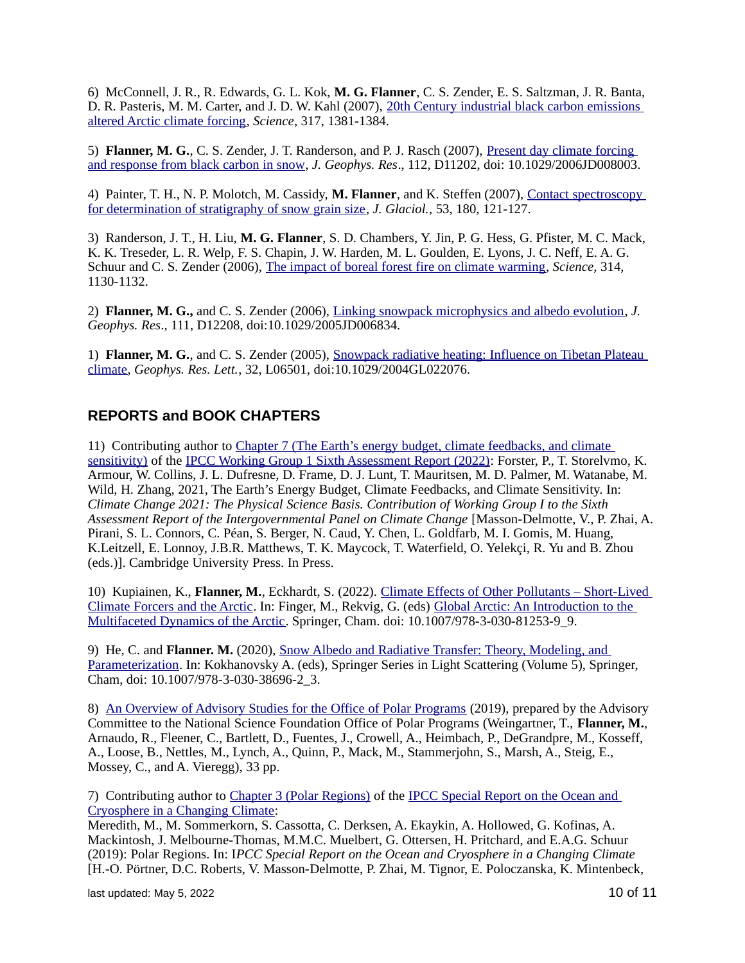6) McConnell, J. R., R. Edwards, G. L. Kok, **M. G. Flanner**, C. S. Zender, E. S. Saltzman, J. R. Banta, D. R. Pasteris, M. M. Carter, and J. D. W. Kahl (2007), 20th Century industrial black carbon emissions [altered Arctic climate forcing,](http://www.sciencemag.org/cgi/content/abstract/sci;317/5843/1381) *Science*, 317, 1381-1384.

5) **Flanner, M. G.**, C. S. Zender, J. T. Randerson, and P. J. Rasch (2007), [Present day climate forcing](http://dx.doi.org/10.1029/2006JD008003)  [and response from black carbon in snow,](http://dx.doi.org/10.1029/2006JD008003) *J. Geophys. Res*., 112, D11202, doi: 10.1029/2006JD008003.

4) Painter, T. H., N. P. Molotch, M. Cassidy, **M. Flanner**, and K. Steffen (2007), [Contact spectroscopy](http://www.ingentaconnect.com/content/igsoc/jog/2007/00000053/00000180/art00011)  [for determination of stratigraphy of snow grain size,](http://www.ingentaconnect.com/content/igsoc/jog/2007/00000053/00000180/art00011) *J. Glaciol.,* 53, 180, 121-127.

3) Randerson, J. T., H. Liu, **M. G. Flanner**, S. D. Chambers, Y. Jin, P. G. Hess, G. Pfister, M. C. Mack, K. K. Treseder, L. R. Welp, F. S. Chapin, J. W. Harden, M. L. Goulden, E. Lyons, J. C. Neff, E. A. G. Schuur and C. S. Zender (2006), [The impact of boreal forest fire on climate warming,](http://www.sciencemag.org/cgi/content/abstract/sci;314/5802/1130) *Science,* 314, 1130-1132.

2) **Flanner, M. G.,** and C. S. Zender (2006), [Linking snowpack microphysics and albedo evolution,](http://dx.doi.org/10.1029/2005JD006834) *J. Geophys. Res*., 111, D12208, doi:10.1029/2005JD006834.

1) **Flanner, M. G.**, and C. S. Zender (2005), [Snowpack radiative heating: Influence on Tibetan Plateau](http://dx.doi.org/10.1029/2004GL022076)  [climate,](http://dx.doi.org/10.1029/2004GL022076) *Geophys. Res. Lett.*, 32, L06501, doi:10.1029/2004GL022076.

#### **REPORTS and BOOK CHAPTERS**

11) Contributing author to [Chapter 7 \(The Earth's energy budget, climate feedbacks, and climate](https://www.ipcc.ch/report/ar6/wg1/downloads/report/IPCC_AR6_WGI_Chapter_07.pdf)  [sensitivity\)](https://www.ipcc.ch/report/ar6/wg1/downloads/report/IPCC_AR6_WGI_Chapter_07.pdf) of the [IPCC Working Group 1 Sixth Assessment Report \(2022\):](https://www.ipcc.ch/report/ar6/wg1/) Forster, P., T. Storelymo, K. Armour, W. Collins, J. L. Dufresne, D. Frame, D. J. Lunt, T. Mauritsen, M. D. Palmer, M. Watanabe, M. Wild, H. Zhang, 2021, The Earth's Energy Budget, Climate Feedbacks, and Climate Sensitivity. In: *Climate Change 2021: The Physical Science Basis. Contribution of Working Group I to the Sixth Assessment Report of the Intergovernmental Panel on Climate Change* [Masson-Delmotte, V., P. Zhai, A. Pirani, S. L. Connors, C. Péan, S. Berger, N. Caud, Y. Chen, L. Goldfarb, M. I. Gomis, M. Huang, K.Leitzell, E. Lonnoy, J.B.R. Matthews, T. K. Maycock, T. Waterfield, O. Yelekçi, R. Yu and B. Zhou (eds.)]. Cambridge University Press. In Press.

10) Kupiainen, K., **Flanner, M.**, Eckhardt, S. (2022). [Climate Effects of Other Pollutants – Short-Lived](https://doi.org/10.1007/978-3-030-81253-9_9)  [Climate Forcers and the Arctic.](https://doi.org/10.1007/978-3-030-81253-9_9) In: Finger, M., Rekvig, G. (eds) [Global Arctic: An Introduction to the](https://link.springer.com/book/10.1007/978-3-030-81253-9)  [Multifaceted Dynamics of the Arctic.](https://link.springer.com/book/10.1007/978-3-030-81253-9) Springer, Cham. doi: 10.1007/978-3-030-81253-9\_9.

9) He, C. and **Flanner. M.** (2020), [Snow Albedo and Radiative Transfer: Theory, Modeling, and](https://doi.org/10.1007/978-3-030-38696-2_3)  [Parameterization.](https://doi.org/10.1007/978-3-030-38696-2_3) In: Kokhanovsky A. (eds), Springer Series in Light Scattering (Volume 5), Springer, Cham, doi: 10.1007/978-3-030-38696-2\_3.

8) [An Overview of Advisory Studies for the Office of Polar Programs](https://www.nsf.gov/geo/opp/opp_advisory/OPP_AC_Report2019.pdf) (2019), prepared by the Advisory Committee to the National Science Foundation Office of Polar Programs (Weingartner, T., **Flanner, M.**, Arnaudo, R., Fleener, C., Bartlett, D., Fuentes, J., Crowell, A., Heimbach, P., DeGrandpre, M., Kosseff, A., Loose, B., Nettles, M., Lynch, A., Quinn, P., Mack, M., Stammerjohn, S., Marsh, A., Steig, E., Mossey, C., and A. Vieregg), 33 pp.

7) Contributing author to [Chapter 3 \(Polar Regions\)](https://www.ipcc.ch/srocc/chapter/chapter-3-2/) of the [IPCC Special Report on the Ocean and](https://www.ipcc.ch/srocc/)  [Cryosphere in a Changing Climate:](https://www.ipcc.ch/srocc/)

Meredith, M., M. Sommerkorn, S. Cassotta, C. Derksen, A. Ekaykin, A. Hollowed, G. Kofinas, A. Mackintosh, J. Melbourne-Thomas, M.M.C. Muelbert, G. Ottersen, H. Pritchard, and E.A.G. Schuur (2019): Polar Regions. In: I*PCC Special Report on the Ocean and Cryosphere in a Changing Climate* [H.-O. Pörtner, D.C. Roberts, V. Masson-Delmotte, P. Zhai, M. Tignor, E. Poloczanska, K. Mintenbeck,